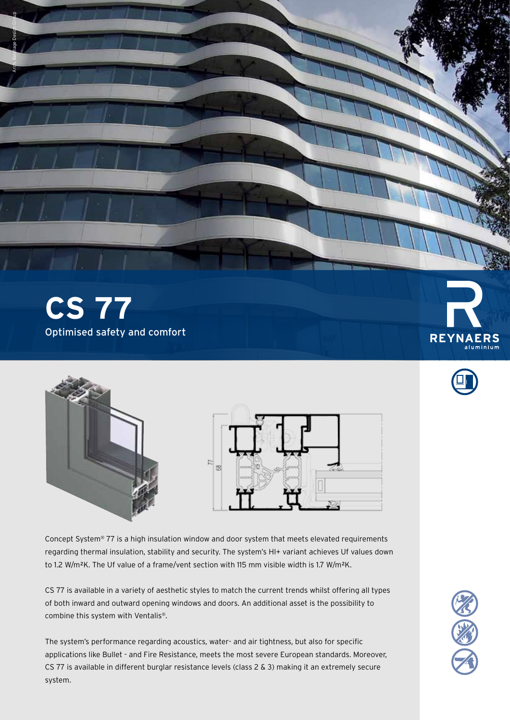

Arch. Beletage Design Group



Concept System® 77 is a high insulation window and door system that meets elevated requirements regarding thermal insulation, stability and security. The system's HI+ variant achieves Uf values down to 1.2 W/m²K. The Uf value of a frame/vent section with 115 mm visible width is 1.7 W/m²K.

CS 77 is available in a variety of aesthetic styles to match the current trends whilst offering all types of both inward and outward opening windows and doors. An additional asset is the possibility to combine this system with Ventalis®.

The system's performance regarding acoustics, water- and air tightness, but also for specific applications like Bullet - and Fire Resistance, meets the most severe European standards. Moreover, CS 77 is available in different burglar resistance levels (class 2 & 3) making it an extremely secure system.